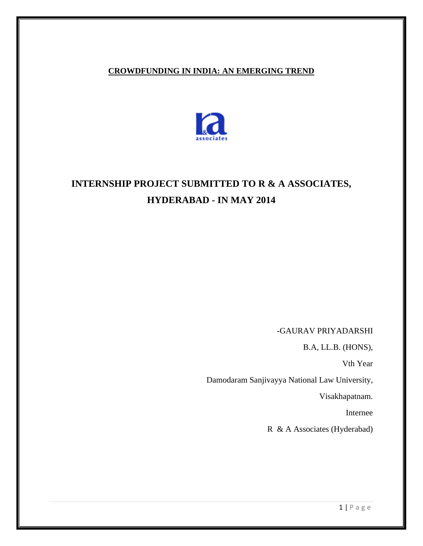#### **CROWDFUNDING IN INDIA: AN EMERGING TREND**



# **INTERNSHIP PROJECT SUBMITTED TO R & A ASSOCIATES, HYDERABAD - IN MAY 2014**

 **-**GAURAV PRIYADARSHI

B.A, LL.B. (HONS),

Vth Year

Damodaram Sanjivayya National Law University,

Visakhapatnam.

Internee

R & A Associates (Hyderabad)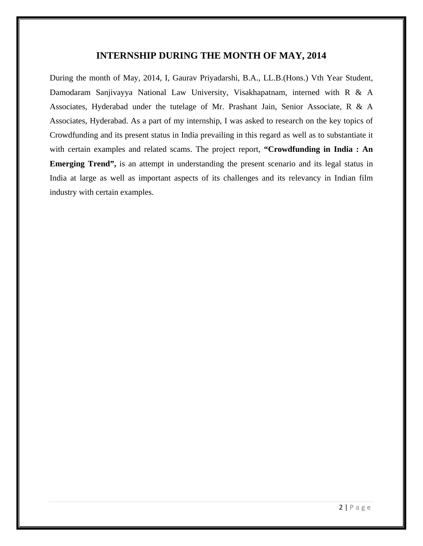#### **INTERNSHIP DURING THE MONTH OF MAY, 2014**

During the month of May, 2014, I, Gaurav Priyadarshi, B.A., LL.B.(Hons.) Vth Year Student, Damodaram Sanjivayya National Law University, Visakhapatnam, interned with R & A Associates, Hyderabad under the tutelage of Mr. Prashant Jain, Senior Associate, R & A Associates, Hyderabad. As a part of my internship, I was asked to research on the key topics of Crowdfunding and its present status in India prevailing in this regard as well as to substantiate it with certain examples and related scams. The project report, **"Crowdfunding in India : An Emerging Trend"**, is an attempt in understanding the present scenario and its legal status in India at large as well as important aspects of its challenges and its relevancy in Indian film industry with certain examples.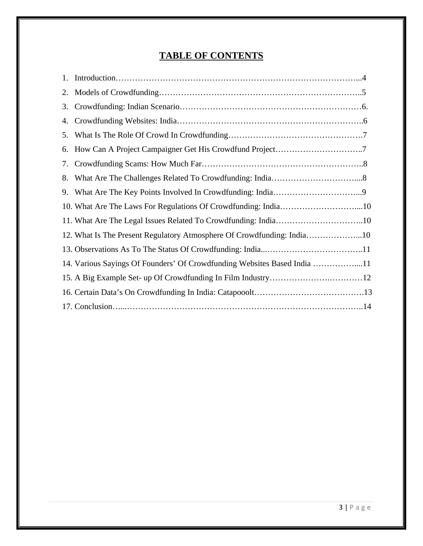## **TABLE OF CONTENTS**

| 1. |                                                                          |  |
|----|--------------------------------------------------------------------------|--|
| 2. |                                                                          |  |
| 3. |                                                                          |  |
| 4. |                                                                          |  |
| 5. |                                                                          |  |
| 6. |                                                                          |  |
| 7. |                                                                          |  |
| 8. |                                                                          |  |
| 9. |                                                                          |  |
|    | 10. What Are The Laws For Regulations Of Crowdfunding: India10           |  |
|    |                                                                          |  |
|    | 12. What Is The Present Regulatory Atmosphere Of Crowdfunding: India10   |  |
|    |                                                                          |  |
|    | 14. Various Sayings Of Founders' Of Crowdfunding Websites Based India 11 |  |
|    |                                                                          |  |
|    |                                                                          |  |
|    |                                                                          |  |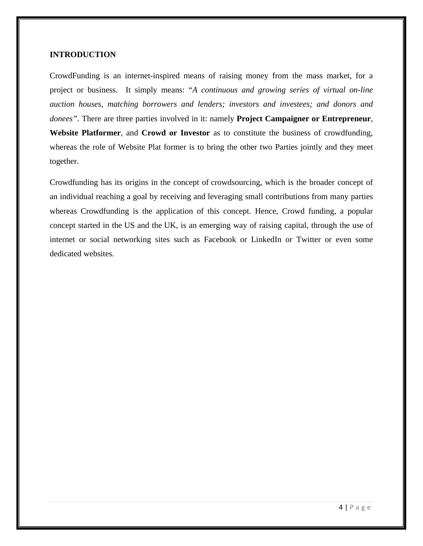#### **INTRODUCTION**

CrowdFunding is an internet-inspired means of raising money from the mass market, for a project or business. It simply means: "*A continuous and growing series of virtual on-line auction houses, matching borrowers and lenders; investors and investees; and donors and donees".* There are three parties involved in it: namely **Project Campaigner or Entrepreneur**, **Website Platformer**, and **Crowd or Investor** as to constitute the business of crowdfunding, whereas the role of Website Plat former is to bring the other two Parties jointly and they meet together.

Crowdfunding has its origins in the concept of crowdsourcing, which is the broader concept of an individual reaching a goal by receiving and leveraging small contributions from many parties whereas Crowdfunding is the application of this concept. Hence, Crowd funding, a popular concept started in the US and the UK, is an emerging way of raising capital, through the use of internet or social networking sites such as Facebook or LinkedIn or Twitter or even some dedicated websites.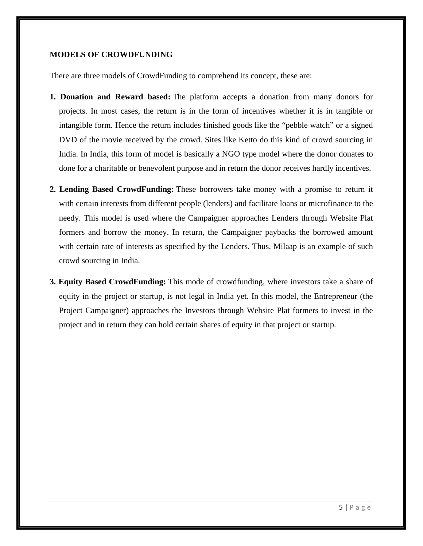#### **MODELS OF CROWDFUNDING**

There are three models of CrowdFunding to comprehend its concept, these are:

- **1. Donation and Reward based:** The platform accepts a donation from many donors for projects. In most cases, the return is in the form of incentives whether it is in tangible or intangible form. Hence the return includes finished goods like the "pebble watch" or a signed DVD of the movie received by the crowd. Sites like Ketto do this kind of crowd sourcing in India. In India, this form of model is basically a NGO type model where the donor donates to done for a charitable or benevolent purpose and in return the donor receives hardly incentives.
- **2. Lending Based CrowdFunding:** These borrowers take money with a promise to return it with certain interests from different people (lenders) and facilitate loans or microfinance to the needy. This model is used where the Campaigner approaches Lenders through Website Plat formers and borrow the money. In return, the Campaigner paybacks the borrowed amount with certain rate of interests as specified by the Lenders. Thus, Milaap is an example of such crowd sourcing in India.
- **3. Equity Based CrowdFunding:** This mode of crowdfunding, where investors take a share of equity in the project or startup, is not legal in India yet. In this model, the Entrepreneur (the Project Campaigner) approaches the Investors through Website Plat formers to invest in the project and in return they can hold certain shares of equity in that project or startup.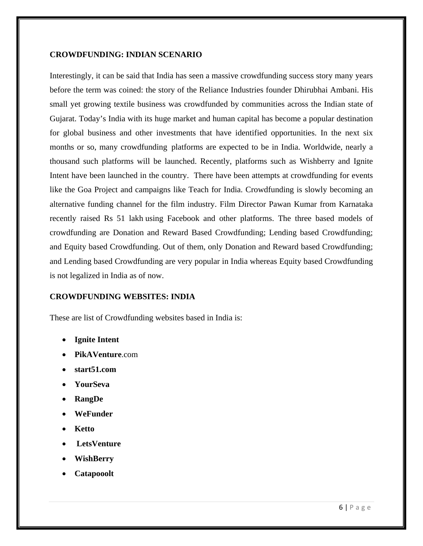#### **CROWDFUNDING: INDIAN SCENARIO**

Interestingly, it can be said that India has seen a massive crowdfunding success story many years before the term was coined: the story of the Reliance Industries founder Dhirubhai Ambani. His small yet growing textile business was crowdfunded by communities across the Indian state of Gujarat. Today's India with its huge market and human capital has become a popular destination for global business and other investments that have identified opportunities. In the next six months or so, many crowdfunding platforms are expected to be in India. Worldwide, nearly a thousand such platforms will be launched. Recently, platforms such as Wishberry and Ignite Intent have been launched in the country. There have been attempts at crowdfunding for events like the Goa Project and campaigns like Teach for India. Crowdfunding is slowly becoming an alternative funding channel for the film industry. Film Director Pawan Kumar from Karnataka recently raised Rs 51 lakh using Facebook and other platforms. The three based models of crowdfunding are Donation and Reward Based Crowdfunding; Lending based Crowdfunding; and Equity based Crowdfunding. Out of them, only Donation and Reward based Crowdfunding; and Lending based Crowdfunding are very popular in India whereas Equity based Crowdfunding is not legalized in India as of now.

#### **CROWDFUNDING WEBSITES: INDIA**

These are list of Crowdfunding websites based in India is:

- **Ignite Intent**
- **PikAVenture**.com
- **start51.com**
- **YourSeva**
- **RangDe**
- **WeFunder**
- **Ketto**
- • **LetsVenture**
- **WishBerry**
- **Catapooolt**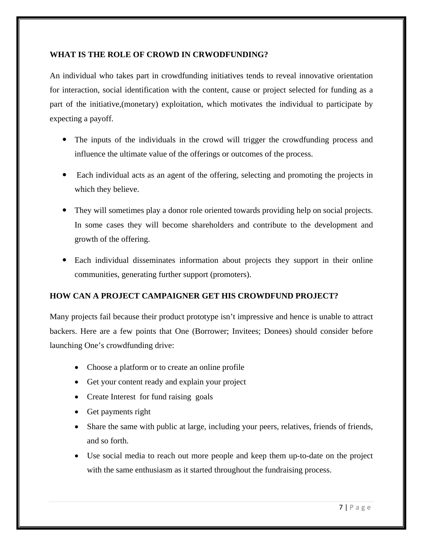#### **WHAT IS THE ROLE OF CROWD IN CRWODFUNDING?**

An individual who takes part in crowdfunding initiatives tends to reveal innovative orientation for interaction, social identification with the content, cause or project selected for funding as a part of the initiative,(monetary) exploitation, which motivates the individual to participate by expecting a payoff.

- The inputs of the individuals in the crowd will trigger the crowdfunding process and influence the ultimate value of the offerings or outcomes of the process.
- Each individual acts as an agent of the offering, selecting and promoting the projects in which they believe.
- They will sometimes play a donor role oriented towards providing help on social projects. In some cases they will become shareholders and contribute to the development and growth of the offering.
- Each individual disseminates information about projects they support in their online communities, generating further support (promoters).

#### **HOW CAN A PROJECT CAMPAIGNER GET HIS CROWDFUND PROJECT?**

Many projects fail because their product prototype isn't impressive and hence is unable to attract backers. Here are a few points that One (Borrower; Invitees; Donees) should consider before launching One's crowdfunding drive:

- Choose a platform or to create an online profile
- Get your content ready and explain your project
- Create Interest for fund raising goals
- Get payments right
- Share the same with public at large, including your peers, relatives, friends of friends, and so forth.
- Use social media to reach out more people and keep them up-to-date on the project with the same enthusiasm as it started throughout the fundraising process.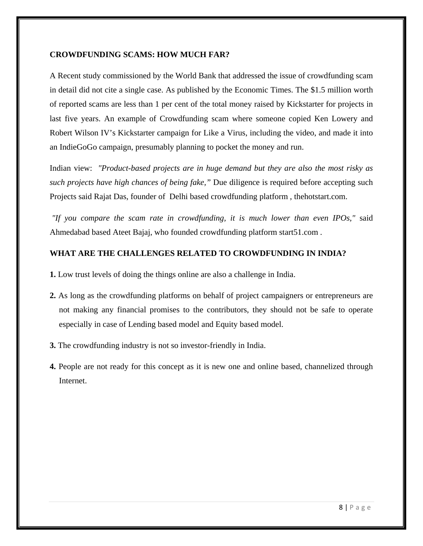#### **CROWDFUNDING SCAMS: HOW MUCH FAR?**

A Recent study commissioned by the World Bank that addressed the issue of crowdfunding scam in detail did not cite a single case. As published by the Economic Times. The \$1.5 million worth of reported scams are less than 1 per cent of the total money raised by Kickstarter for projects in last five years. An example of Crowdfunding scam where someone copied Ken Lowery and Robert Wilson IV's Kickstarter campaign for Like a Virus, including the video, and made it into an IndieGoGo campaign, presumably planning to pocket the money and run.

Indian view: *"Product-based projects are in huge demand but they are also the most risky as such projects have high chances of being fake,"* Due diligence is required before accepting such Projects said Rajat Das, founder of Delhi based crowdfunding platform , thehotstart.com.

 *"If you compare the scam rate in crowdfunding, it is much lower than even IPOs,"* said Ahmedabad based Ateet Bajaj, who founded crowdfunding platform start51.com .

#### **WHAT ARE THE CHALLENGES RELATED TO CROWDFUNDING IN INDIA?**

- **1.** Low trust levels of doing the things online are also a challenge in India.
- **2.** As long as the crowdfunding platforms on behalf of project campaigners or entrepreneurs are not making any financial promises to the contributors, they should not be safe to operate especially in case of Lending based model and Equity based model.
- **3.** The crowdfunding industry is not so investor-friendly in India.
- **4.** People are not ready for this concept as it is new one and online based, channelized through Internet.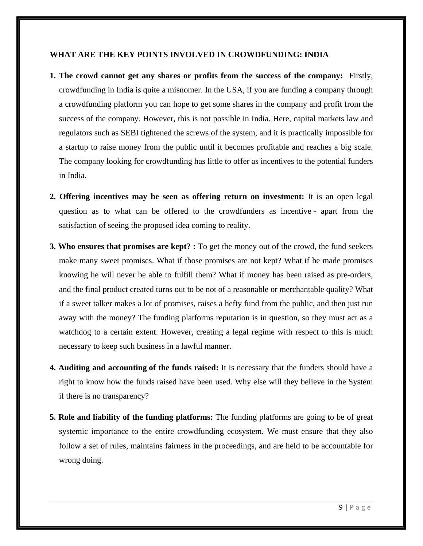#### **WHAT ARE THE KEY POINTS INVOLVED IN CROWDFUNDING: INDIA**

- **1. The crowd cannot get any shares or profits from the success of the company:** Firstly, crowdfunding in India is quite a misnomer. In the USA, if you are funding a company through a crowdfunding platform you can hope to get some shares in the company and profit from the success of the company. However, this is not possible in India. Here, capital markets law and regulators such as SEBI tightened the screws of the system, and it is practically impossible for a startup to raise money from the public until it becomes profitable and reaches a big scale. The company looking for crowdfunding has little to offer as incentives to the potential funders in India.
- **2. Offering incentives may be seen as offering return on investment:** It is an open legal question as to what can be offered to the crowdfunders as incentive - apart from the satisfaction of seeing the proposed idea coming to reality.
- **3. Who ensures that promises are kept?** : To get the money out of the crowd, the fund seekers make many sweet promises. What if those promises are not kept? What if he made promises knowing he will never be able to fulfill them? What if money has been raised as pre-orders, and the final product created turns out to be not of a reasonable or merchantable quality? What if a sweet talker makes a lot of promises, raises a hefty fund from the public, and then just run away with the money? The funding platforms reputation is in question, so they must act as a watchdog to a certain extent. However, creating a legal regime with respect to this is much necessary to keep such business in a lawful manner.
- **4. Auditing and accounting of the funds raised:** It is necessary that the funders should have a right to know how the funds raised have been used. Why else will they believe in the System if there is no transparency?
- **5. Role and liability of the funding platforms:** The funding platforms are going to be of great systemic importance to the entire crowdfunding ecosystem. We must ensure that they also follow a set of rules, maintains fairness in the proceedings, and are held to be accountable for wrong doing.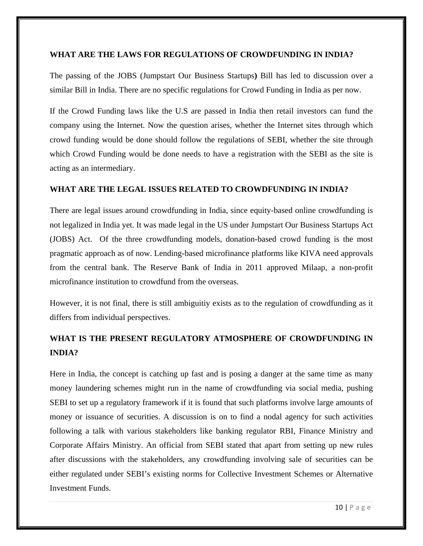#### **WHAT ARE THE LAWS FOR REGULATIONS OF CROWDFUNDING IN INDIA?**

The passing of the JOBS (Jumpstart Our Business Startups**)** Bill has led to discussion over a similar Bill in India. There are no specific regulations for Crowd Funding in India as per now.

If the Crowd Funding laws like the U.S are passed in India then retail investors can fund the company using the Internet. Now the question arises, whether the Internet sites through which crowd funding would be done should follow the regulations of SEBI, whether the site through which Crowd Funding would be done needs to have a registration with the SEBI as the site is acting as an intermediary.

#### **WHAT ARE THE LEGAL ISSUES RELATED TO CROWDFUNDING IN INDIA?**

There are legal issues around crowdfunding in India, since equity-based online crowdfunding is not legalized in India yet. It was made legal in the US under Jumpstart Our Business Startups Act (JOBS) Act. Of the three crowdfunding models, donation-based crowd funding is the most pragmatic approach as of now. Lending-based microfinance platforms like KIVA need approvals from the central bank. The Reserve Bank of India in 2011 approved Milaap, a non-profit microfinance institution to crowdfund from the overseas.

However, it is not final, there is still ambiguitiy exists as to the regulation of crowdfunding as it differs from individual perspectives.

## **WHAT IS THE PRESENT REGULATORY ATMOSPHERE OF CROWDFUNDING IN INDIA?**

Here in India, the concept is catching up fast and is posing a danger at the same time as many money laundering schemes might run in the name of crowdfunding via social media, pushing SEBI to set up a regulatory framework if it is found that such platforms involve large amounts of money or issuance of securities. A discussion is on to find a nodal agency for such activities following a talk with various stakeholders like banking regulator RBI, Finance Ministry and Corporate Affairs Ministry. An official from SEBI stated that apart from setting up new rules after discussions with the stakeholders, any crowdfunding involving sale of securities can be either regulated under SEBI's existing norms for Collective Investment Schemes or Alternative Investment Funds.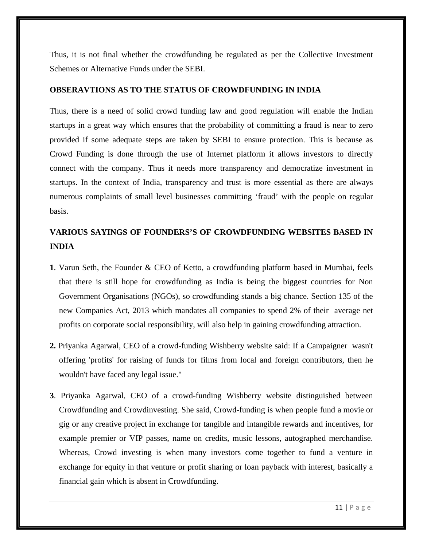Thus, it is not final whether the crowdfunding be regulated as per the Collective Investment Schemes or Alternative Funds under the SEBI.

#### **OBSERAVTIONS AS TO THE STATUS OF CROWDFUNDING IN INDIA**

Thus, there is a need of solid crowd funding law and good regulation will enable the Indian startups in a great way which ensures that the probability of committing a fraud is near to zero provided if some adequate steps are taken by SEBI to ensure protection. This is because as Crowd Funding is done through the use of Internet platform it allows investors to directly connect with the company. Thus it needs more transparency and democratize investment in startups. In the context of India, transparency and trust is more essential as there are always numerous complaints of small level businesses committing 'fraud' with the people on regular basis.

## **VARIOUS SAYINGS OF FOUNDERS'S OF CROWDFUNDING WEBSITES BASED IN INDIA**

- **1**. Varun Seth, the Founder & CEO of Ketto, a crowdfunding platform based in Mumbai, feels that there is still hope for crowdfunding as India is being the biggest countries for Non Government Organisations (NGOs), so crowdfunding stands a big chance. Section 135 of the new Companies Act, 2013 which mandates all companies to spend 2% of their average net profits on corporate social responsibility, will also help in gaining crowdfunding attraction.
- **2.** Priyanka Agarwal, CEO of a crowd-funding Wishberry website said: If a Campaigner wasn't offering 'profits' for raising of funds for films from local and foreign contributors, then he wouldn't have faced any legal issue."
- **3**. Priyanka Agarwal, CEO of a crowd-funding Wishberry website distinguished between Crowdfunding and Crowdinvesting. She said, Crowd-funding is when people fund a movie or gig or any creative project in exchange for tangible and intangible rewards and incentives, for example premier or VIP passes, name on credits, music lessons, autographed merchandise. Whereas, Crowd investing is when many investors come together to fund a venture in exchange for equity in that venture or profit sharing or loan payback with interest, basically a financial gain which is absent in Crowdfunding.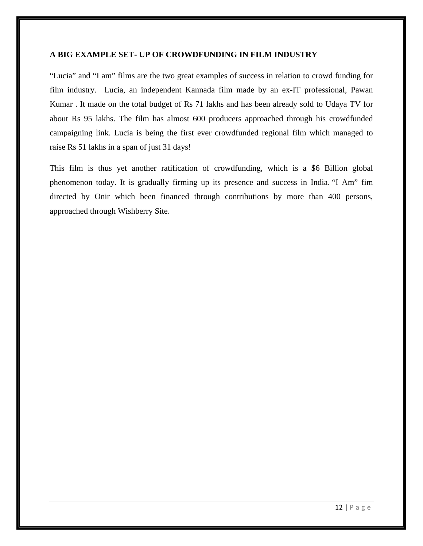#### **A BIG EXAMPLE SET- UP OF CROWDFUNDING IN FILM INDUSTRY**

"Lucia" and "I am" films are the two great examples of success in relation to crowd funding for film industry. Lucia, an independent Kannada film made by an ex-IT professional, Pawan Kumar . It made on the total budget of Rs 71 lakhs and has been already sold to Udaya TV for about Rs 95 lakhs. The film has almost 600 producers approached through his crowdfunded campaigning link. Lucia is being the first ever crowdfunded regional film which managed to raise Rs 51 lakhs in a span of just 31 days!

This film is thus yet another ratification of crowdfunding, which is a \$6 Billion global phenomenon today. It is gradually firming up its presence and success in India. "I Am" fim directed by Onir which been financed through contributions by more than 400 persons, approached through Wishberry Site.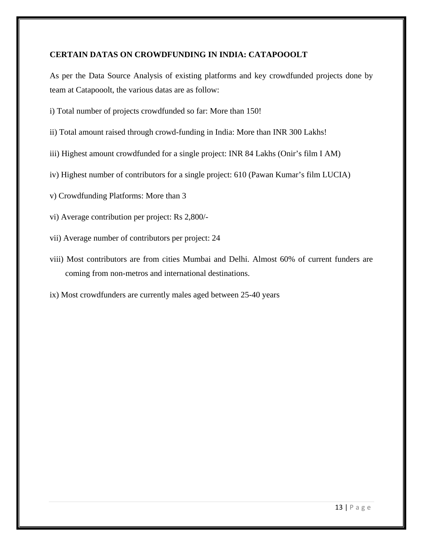#### **CERTAIN DATAS ON CROWDFUNDING IN INDIA: CATAPOOOLT**

As per the Data Source Analysis of existing platforms and key crowdfunded projects done by team at Catapooolt, the various datas are as follow:

- i) Total number of projects crowdfunded so far: More than 150!
- ii) Total amount raised through crowd-funding in India: More than INR 300 Lakhs!
- iii) Highest amount crowdfunded for a single project: INR 84 Lakhs (Onir's film I AM)
- iv) Highest number of contributors for a single project: 610 (Pawan Kumar's film LUCIA)
- v) Crowdfunding Platforms: More than 3
- vi) Average contribution per project: Rs 2,800/-
- vii) Average number of contributors per project: 24
- viii) Most contributors are from cities Mumbai and Delhi. Almost 60% of current funders are coming from non-metros and international destinations.
- ix) Most crowdfunders are currently males aged between 25-40 years